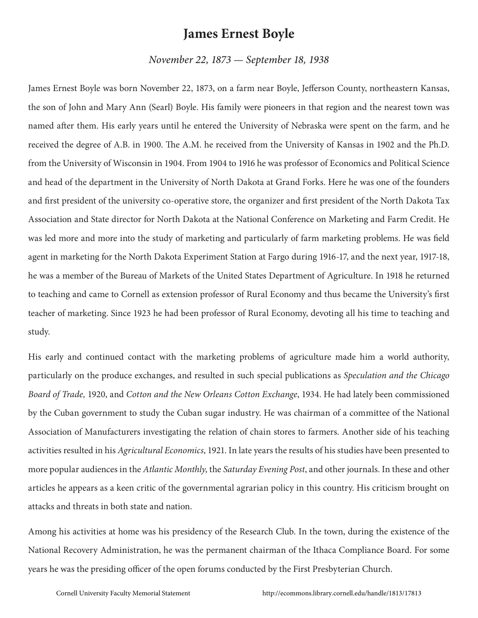## **James Ernest Boyle**

*November 22, 1873 — September 18, 1938*

James Ernest Boyle was born November 22, 1873, on a farm near Boyle, Jefferson County, northeastern Kansas, the son of John and Mary Ann (Searl) Boyle. His family were pioneers in that region and the nearest town was named after them. His early years until he entered the University of Nebraska were spent on the farm, and he received the degree of A.B. in 1900. The A.M. he received from the University of Kansas in 1902 and the Ph.D. from the University of Wisconsin in 1904. From 1904 to 1916 he was professor of Economics and Political Science and head of the department in the University of North Dakota at Grand Forks. Here he was one of the founders and first president of the university co-operative store, the organizer and first president of the North Dakota Tax Association and State director for North Dakota at the National Conference on Marketing and Farm Credit. He was led more and more into the study of marketing and particularly of farm marketing problems. He was field agent in marketing for the North Dakota Experiment Station at Fargo during 1916-17, and the next year, 1917-18, he was a member of the Bureau of Markets of the United States Department of Agriculture. In 1918 he returned to teaching and came to Cornell as extension professor of Rural Economy and thus became the University's first teacher of marketing. Since 1923 he had been professor of Rural Economy, devoting all his time to teaching and study.

His early and continued contact with the marketing problems of agriculture made him a world authority, particularly on the produce exchanges, and resulted in such special publications as *Speculation and the Chicago Board of Trade,* 1920, and *Cotton and the New Orleans Cotton Exchange*, 1934. He had lately been commissioned by the Cuban government to study the Cuban sugar industry. He was chairman of a committee of the National Association of Manufacturers investigating the relation of chain stores to farmers. Another side of his teaching activities resulted in his *Agricultural Economics*, 1921. In late years the results of his studies have been presented to more popular audiences in the *Atlantic Monthly*, the *Saturday Evening Post*, and other journals. In these and other articles he appears as a keen critic of the governmental agrarian policy in this country. His criticism brought on attacks and threats in both state and nation.

Among his activities at home was his presidency of the Research Club. In the town, during the existence of the National Recovery Administration, he was the permanent chairman of the Ithaca Compliance Board. For some years he was the presiding officer of the open forums conducted by the First Presbyterian Church.